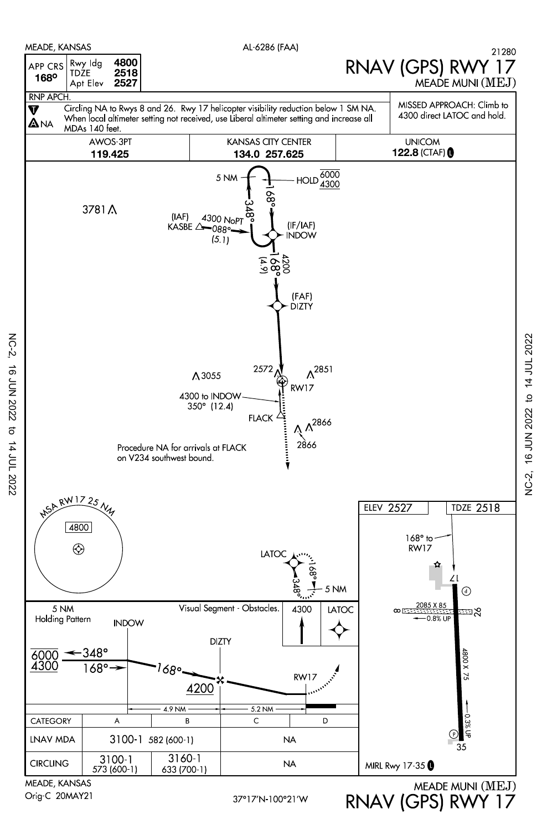

NC-2, 16 JUN 2022 to 14 JUL 2022

to 14 JUL 2022

**16 JUN 2022** 

 $NC-2$ 

AL-6286 (FAA)



MEADE, KANSAS Orig-C 20MAY21

MEADE MUNI (MEJ) RNAV (GPS) RWY 17